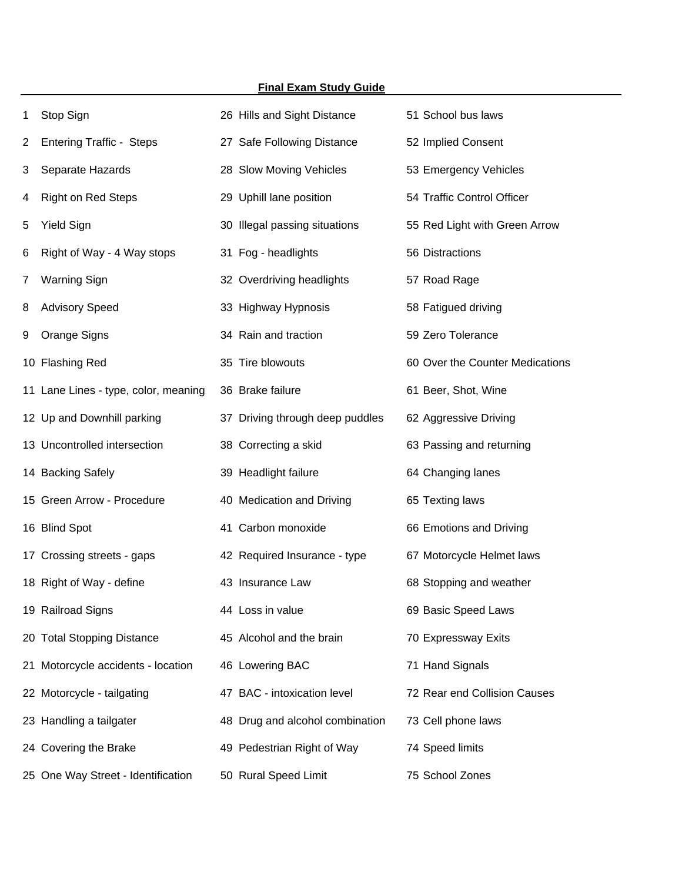|    | <b>Final Exam Study Guide</b>        |                                 |                                 |  |  |  |
|----|--------------------------------------|---------------------------------|---------------------------------|--|--|--|
| 1  | Stop Sign                            | 26 Hills and Sight Distance     | 51 School bus laws              |  |  |  |
| 2  | <b>Entering Traffic - Steps</b>      | 27 Safe Following Distance      | 52 Implied Consent              |  |  |  |
| 3  | Separate Hazards                     | 28 Slow Moving Vehicles         | 53 Emergency Vehicles           |  |  |  |
| 4  | <b>Right on Red Steps</b>            | 29 Uphill lane position         | 54 Traffic Control Officer      |  |  |  |
| 5  | <b>Yield Sign</b>                    | 30 Illegal passing situations   | 55 Red Light with Green Arrow   |  |  |  |
| 6  | Right of Way - 4 Way stops           | 31 Fog - headlights             | 56 Distractions                 |  |  |  |
| 7  | <b>Warning Sign</b>                  | 32 Overdriving headlights       | 57 Road Rage                    |  |  |  |
| 8  | <b>Advisory Speed</b>                | 33 Highway Hypnosis             | 58 Fatigued driving             |  |  |  |
| 9  | Orange Signs                         | 34 Rain and traction            | 59 Zero Tolerance               |  |  |  |
|    | 10 Flashing Red                      | 35 Tire blowouts                | 60 Over the Counter Medications |  |  |  |
|    | 11 Lane Lines - type, color, meaning | 36 Brake failure                | 61 Beer, Shot, Wine             |  |  |  |
|    | 12 Up and Downhill parking           | 37 Driving through deep puddles | 62 Aggressive Driving           |  |  |  |
|    | 13 Uncontrolled intersection         | 38 Correcting a skid            | 63 Passing and returning        |  |  |  |
|    | 14 Backing Safely                    | 39 Headlight failure            | 64 Changing lanes               |  |  |  |
|    | 15 Green Arrow - Procedure           | 40 Medication and Driving       | 65 Texting laws                 |  |  |  |
|    | 16 Blind Spot                        | 41 Carbon monoxide              | 66 Emotions and Driving         |  |  |  |
|    | 17 Crossing streets - gaps           | 42 Required Insurance - type    | 67 Motorcycle Helmet laws       |  |  |  |
|    | 18 Right of Way - define             | 43 Insurance Law                | 68 Stopping and weather         |  |  |  |
|    | 19 Railroad Signs                    | 44 Loss in value                | 69 Basic Speed Laws             |  |  |  |
| 20 | <b>Total Stopping Distance</b>       | 45 Alcohol and the brain        | 70 Expressway Exits             |  |  |  |
| 21 | Motorcycle accidents - location      | 46 Lowering BAC                 | 71 Hand Signals                 |  |  |  |
|    | 22 Motorcycle - tailgating           | 47 BAC - intoxication level     | 72 Rear end Collision Causes    |  |  |  |
|    | 23 Handling a tailgater              | 48 Drug and alcohol combination | 73 Cell phone laws              |  |  |  |
|    | 24 Covering the Brake                | 49 Pedestrian Right of Way      | 74 Speed limits                 |  |  |  |
|    | 25 One Way Street - Identification   | 50 Rural Speed Limit            | 75 School Zones                 |  |  |  |